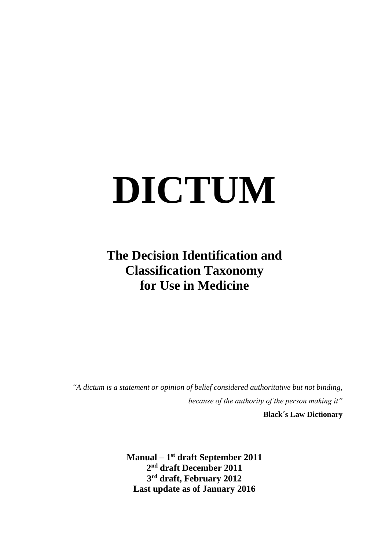# **DICTUM**

# **The Decision Identification and Classification Taxonomy for Use in Medicine**

*"A dictum is a statement or opinion of belief considered authoritative but not binding, because of the authority of the person making it"*

**Black´s Law Dictionary**

**Manual – 1 st draft September 2011 2 nd draft December 2011 3 rd draft, February 2012 Last update as of January 2016**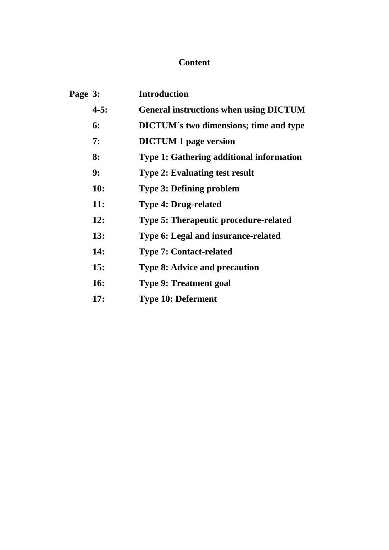# **Content**

| Page 3: |            | <b>Introduction</b>                             |
|---------|------------|-------------------------------------------------|
|         | $4 - 5:$   | <b>General instructions when using DICTUM</b>   |
|         | 6:         | <b>DICTUM's two dimensions; time and type</b>   |
|         | 7:         | <b>DICTUM 1 page version</b>                    |
|         | 8:         | <b>Type 1: Gathering additional information</b> |
|         | 9:         | <b>Type 2: Evaluating test result</b>           |
|         | <b>10:</b> | <b>Type 3: Defining problem</b>                 |
|         | <b>11:</b> | <b>Type 4: Drug-related</b>                     |
|         | 12:        | <b>Type 5: Therapeutic procedure-related</b>    |
|         | 13:        | Type 6: Legal and insurance-related             |
|         | 14:        | <b>Type 7: Contact-related</b>                  |
|         | 15:        | <b>Type 8: Advice and precaution</b>            |
|         | <b>16:</b> | <b>Type 9: Treatment goal</b>                   |
|         |            |                                                 |

**17: Type 10: Deferment**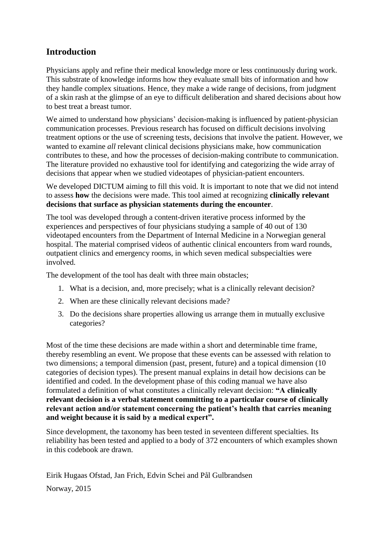# **Introduction**

Physicians apply and refine their medical knowledge more or less continuously during work. This substrate of knowledge informs how they evaluate small bits of information and how they handle complex situations. Hence, they make a wide range of decisions, from judgment of a skin rash at the glimpse of an eye to difficult deliberation and shared decisions about how to best treat a breast tumor.

We aimed to understand how physicians' decision-making is influenced by patient-physician communication processes. Previous research has focused on difficult decisions involving treatment options or the use of screening tests, decisions that involve the patient. However, we wanted to examine *all* relevant clinical decisions physicians make, how communication contributes to these, and how the processes of decision-making contribute to communication. The literature provided no exhaustive tool for identifying and categorizing the wide array of decisions that appear when we studied videotapes of physician-patient encounters.

We developed DICTUM aiming to fill this void. It is important to note that we did not intend to assess **how** the decisions were made. This tool aimed at recognizing **clinically relevant decisions that surface as physician statements during the encounter**.

The tool was developed through a content-driven iterative process informed by the experiences and perspectives of four physicians studying a sample of 40 out of 130 videotaped encounters from the Department of Internal Medicine in a Norwegian general hospital. The material comprised videos of authentic clinical encounters from ward rounds, outpatient clinics and emergency rooms, in which seven medical subspecialties were involved.

The development of the tool has dealt with three main obstacles;

- 1. What is a decision, and, more precisely; what is a clinically relevant decision?
- 2. When are these clinically relevant decisions made?
- 3. Do the decisions share properties allowing us arrange them in mutually exclusive categories?

Most of the time these decisions are made within a short and determinable time frame, thereby resembling an event. We propose that these events can be assessed with relation to two dimensions; a temporal dimension (past, present, future) and a topical dimension (10 categories of decision types). The present manual explains in detail how decisions can be identified and coded. In the development phase of this coding manual we have also formulated a definition of what constitutes a clinically relevant decision: **"A clinically relevant decision is a verbal statement committing to a particular course of clinically relevant action and/or statement concerning the patient's health that carries meaning and weight because it is said by a medical expert".**

Since development, the taxonomy has been tested in seventeen different specialties. Its reliability has been tested and applied to a body of 372 encounters of which examples shown in this codebook are drawn.

Eirik Hugaas Ofstad, Jan Frich, Edvin Schei and Pål Gulbrandsen

Norway, 2015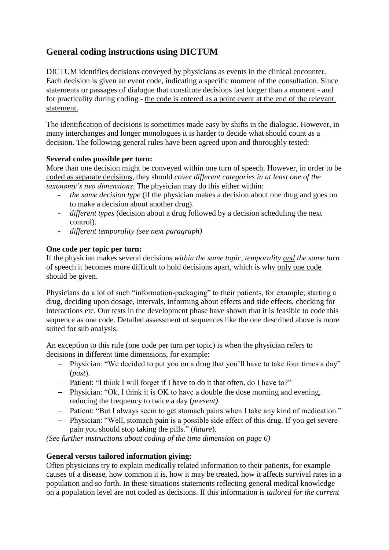# **General coding instructions using DICTUM**

DICTUM identifies decisions conveyed by physicians as events in the clinical encounter. Each decision is given an event code, indicating a specific moment of the consultation. Since statements or passages of dialogue that constitute decisions last longer than a moment - and for practicality during coding - the code is entered as a point event at the end of the relevant statement.

The identification of decisions is sometimes made easy by shifts in the dialogue. However, in many interchanges and longer monologues it is harder to decide what should count as a decision. The following general rules have been agreed upon and thoroughly tested:

#### **Several codes possible per turn:**

More than one decision might be conveyed within one turn of speech. However, in order to be coded as separate decisions, they should *cover different categories in at least one of the taxonomy's two dimensions*. The physician may do this either within:

- *the same decision type* (if the physician makes a decision about one drug and goes on to make a decision about another drug).
- *different types* (decision about a drug followed by a decision scheduling the next control).
- *different temporality (see next paragraph)*

#### **One code per topic per turn:**

If the physician makes several decisions *within the same topic, temporality and the same turn* of speech it becomes more difficult to hold decisions apart, which is why only one code should be given.

Physicians do a lot of such "information-packaging" to their patients, for example; starting a drug, deciding upon dosage, intervals, informing about effects and side effects, checking for interactions etc. Our tests in the development phase have shown that it is feasible to code this sequence as one code. Detailed assessment of sequences like the one described above is more suited for sub analysis.

An exception to this rule (one code per turn per topic) is when the physician refers to decisions in different time dimensions, for example:

- Physician: "We decided to put you on a drug that you'll have to take four times a day" (*past*).
- Patient: "I think I will forget if I have to do it that often, do I have to?"
- Physician: "Ok, I think it is OK to have a double the dose morning and evening, reducing the frequency to twice a day (*present)*.
- Patient: "But I always seem to get stomach pains when I take any kind of medication."
- Physician: "Well, stomach pain is a possible side effect of this drug. If you get severe pain you should stop taking the pills." (*future*).

*(See further instructions about coding of the time dimension on page 6)*

#### **General versus tailored information giving:**

Often physicians try to explain medically related information to their patients, for example causes of a disease, how common it is, how it may be treated, how it affects survival rates in a population and so forth. In these situations statements reflecting general medical knowledge on a population level are not coded as decisions. If this information is *tailored for the current*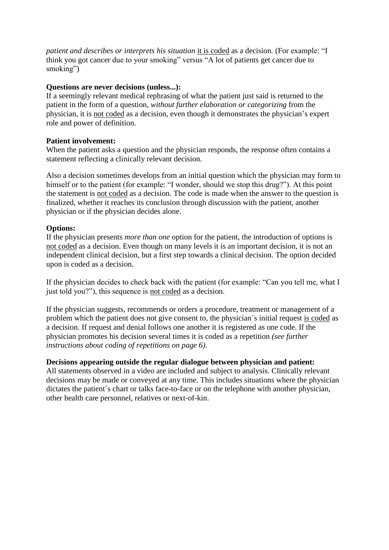*patient and describes or interprets his situation* it is coded as a decision*.* (For example: "I think you got cancer due to your smoking" versus "A lot of patients get cancer due to smoking")

#### **Questions are never decisions (unless...):**

If a seemingly relevant medical rephrasing of what the patient just said is returned to the patient in the form of a question, *without further elaboration or categorizing* from the physician, it is not coded as a decision, even though it demonstrates the physician's expert role and power of definition.

#### **Patient involvement:**

When the patient asks a question and the physician responds, the response often contains a statement reflecting a clinically relevant decision.

Also a decision sometimes develops from an initial question which the physician may form to himself or to the patient (for example: "I wonder, should we stop this drug?"). At this point the statement is not coded as a decision. The code is made when the answer to the question is finalized, whether it reaches its conclusion through discussion with the patient, another physician or if the physician decides alone.

#### **Options:**

If the physician presents *more than one* option for the patient, the introduction of options is not coded as a decision. Even though on many levels it is an important decision, it is not an independent clinical decision, but a first step towards a clinical decision. The option decided upon is coded as a decision.

If the physician decides to check back with the patient (for example: "Can you tell me, what I just told you?"), this sequence is not coded as a decision.

If the physician suggests, recommends or orders a procedure, treatment or management of a problem which the patient does not give consent to, the physician´s initial request is coded as a decision. If request and denial follows one another it is registered as one code. If the physician promotes his decision several times it is coded as a repetition *(see further instructions about coding of repetitions on page 6).*

#### **Decisions appearing outside the regular dialogue between physician and patient:**

All statements observed in a video are included and subject to analysis. Clinically relevant decisions may be made or conveyed at any time. This includes situations where the physician dictates the patient's chart or talks face-to-face or on the telephone with another physician, other health care personnel, relatives or next-of-kin.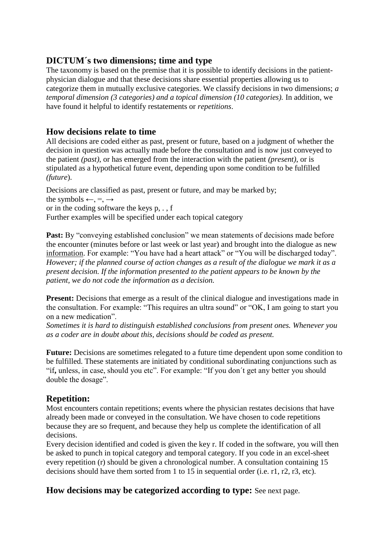## **DICTUM´s two dimensions; time and type**

The taxonomy is based on the premise that it is possible to identify decisions in the patientphysician dialogue and that these decisions share essential properties allowing us to categorize them in mutually exclusive categories. We classify decisions in two dimensions; *a temporal dimension (3 categories) and a topical dimension (10 categories).* In addition, we have found it helpful to identify restatements or *repetitions*.

#### **How decisions relate to time**

All decisions are coded either as past, present or future, based on a judgment of whether the decision in question was actually made before the consultation and is now just conveyed to the patient *(past)*, or has emerged from the interaction with the patient *(present)*, or is stipulated as a hypothetical future event, depending upon some condition to be fulfilled *(future*).

Decisions are classified as past, present or future, and may be marked by; the symbols  $\leftarrow, = \rightarrow$ or in the coding software the keys p, . , f Further examples will be specified under each topical category

Past: By "conveying established conclusion" we mean statements of decisions made before the encounter (minutes before or last week or last year) and brought into the dialogue as new information. For example: "You have had a heart attack" or "You will be discharged today". *However; if the planned course of action changes as a result of the dialogue we mark it as a present decision. If the information presented to the patient appears to be known by the patient, we do not code the information as a decision.*

**Present:** Decisions that emerge as a result of the clinical dialogue and investigations made in the consultation. For example: "This requires an ultra sound" or "OK, I am going to start you on a new medication".

*Sometimes it is hard to distinguish established conclusions from present ones. Whenever you as a coder are in doubt about this, decisions should be coded as present.*

Future: Decisions are sometimes relegated to a future time dependent upon some condition to be fulfilled. These statements are initiated by conditional subordinating conjunctions such as "if**,** unless, in case, should you etc". For example: "If you don´t get any better you should double the dosage".

# **Repetition:**

Most encounters contain repetitions; events where the physician restates decisions that have already been made or conveyed in the consultation. We have chosen to code repetitions because they are so frequent, and because they help us complete the identification of all decisions.

Every decision identified and coded is given the key r. If coded in the software, you will then be asked to punch in topical category and temporal category. If you code in an excel-sheet every repetition (r) should be given a chronological number. A consultation containing 15 decisions should have them sorted from 1 to 15 in sequential order (i.e. r1, r2, r3, etc).

**How decisions may be categorized according to type:** See next page.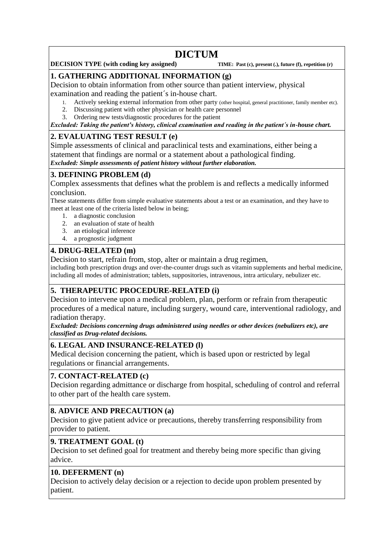# **DICTUM**

#### **DECISION TYPE** (with coding key assigned) **TIME:** Past (c), present (.), future (f), repetition (r)

#### **1. GATHERING ADDITIONAL INFORMATION (g)**

Decision to obtain information from other source than patient interview, physical

examination and reading the patient´s in-house chart.

- 1. Actively seeking external information from other party (other hospital, general practitioner, family member etc).
- 2. Discussing patient with other physician or health care personnel 3. Ordering new tests/diagnostic procedures for the patient

# *Excluded: Taking the patient's history, clinical examination and reading in the patient´s in-house chart.*

# **2. EVALUATING TEST RESULT (e)**

Simple assessments of clinical and paraclinical tests and examinations, either being a statement that findings are normal or a statement about a pathological finding. *Excluded: Simple assessments of patient history without further elaboration.*

#### **3. DEFINING PROBLEM (d)**

Complex assessments that defines what the problem is and reflects a medically informed conclusion.

These statements differ from simple evaluative statements about a test or an examination, and they have to meet at least one of the criteria listed below in being;

- 1. a diagnostic conclusion
- 2. an evaluation of state of health
- 3. an etiological inference
- 4. a prognostic judgment

#### **4. DRUG-RELATED (m)**

Decision to start, refrain from, stop, alter or maintain a drug regimen,

including both prescription drugs and over-the-counter drugs such as vitamin supplements and herbal medicine, including all modes of administration; tablets, suppositories, intravenous, intra articulary, nebulizer etc.

# **5. THERAPEUTIC PROCEDURE-RELATED (i)**

Decision to intervene upon a medical problem, plan, perform or refrain from therapeutic procedures of a medical nature, including surgery, wound care, interventional radiology, and radiation therapy.

*Excluded: Decisions concerning drugs administered using needles or other devices (nebulizers etc), are classified as Drug-related decisions.*

#### **6. LEGAL AND INSURANCE-RELATED (l)**

Medical decision concerning the patient, which is based upon or restricted by legal regulations or financial arrangements.

#### **7. CONTACT-RELATED (c)**

Decision regarding admittance or discharge from hospital, scheduling of control and referral to other part of the health care system.

#### **8. ADVICE AND PRECAUTION (a)**

Decision to give patient advice or precautions, thereby transferring responsibility from provider to patient.

#### **9. TREATMENT GOAL (t)**

Decision to set defined goal for treatment and thereby being more specific than giving advice.

#### **10. DEFERMENT (n)**

Decision to actively delay decision or a rejection to decide upon problem presented by patient.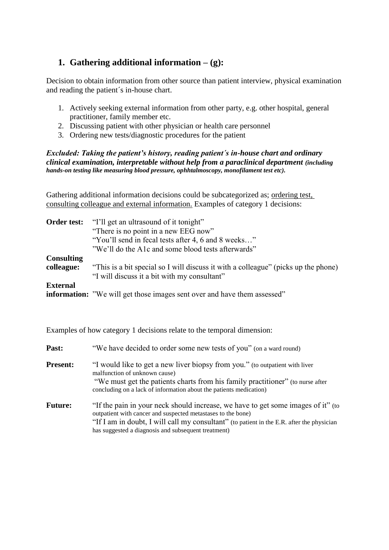# **1. Gathering additional information – (g):**

Decision to obtain information from other source than patient interview, physical examination and reading the patient´s in-house chart.

- 1. Actively seeking external information from other party, e.g. other hospital, general practitioner, family member etc.
- 2. Discussing patient with other physician or health care personnel
- 3. Ordering new tests/diagnostic procedures for the patient

#### *Excluded: Taking the patient's history, reading patient´s in-house chart and ordinary clinical examination, interpretable without help from a paraclinical department (including hands-on testing like measuring blood pressure, ophhtalmoscopy, monofilament test etc).*

Gathering additional information decisions could be subcategorized as; ordering test, consulting colleague and external information. Examples of category 1 decisions:

| Order test:       | "I'll get an ultrasound of it tonight"                                             |
|-------------------|------------------------------------------------------------------------------------|
|                   | "There is no point in a new EEG now"                                               |
|                   | "You'll send in fecal tests after 4, 6 and 8 weeks"                                |
|                   | "We'll do the A1c and some blood tests afterwards"                                 |
| <b>Consulting</b> |                                                                                    |
| colleague:        | "This is a bit special so I will discuss it with a colleague" (picks up the phone) |
|                   | "I will discuss it a bit with my consultant"                                       |
| <b>External</b>   |                                                                                    |
|                   | <b>information:</b> "We will get those images sent over and have them assessed"    |

Examples of how category 1 decisions relate to the temporal dimension:

| Past:           | "We have decided to order some new tests of you" (on a ward round)                                                                                                                                                                                                                                   |
|-----------------|------------------------------------------------------------------------------------------------------------------------------------------------------------------------------------------------------------------------------------------------------------------------------------------------------|
| <b>Present:</b> | "I would like to get a new liver biopsy from you." (to outpatient with liver<br>malfunction of unknown cause)<br>"We must get the patients charts from his family practitioner" (to nurse after<br>concluding on a lack of information about the patients medication)                                |
| <b>Future:</b>  | "If the pain in your neck should increase, we have to get some images of it" (to<br>outpatient with cancer and suspected metastases to the bone)<br>"If I am in doubt, I will call my consultant" (to patient in the E.R. after the physician<br>has suggested a diagnosis and subsequent treatment) |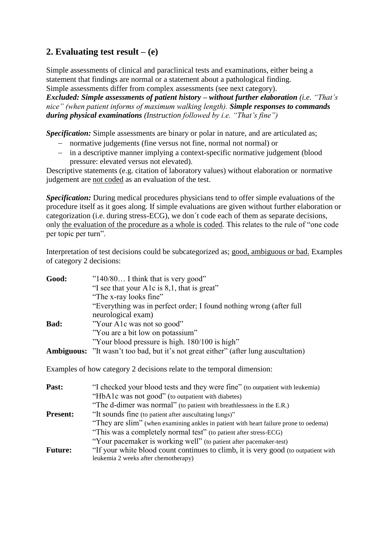# **2. Evaluating test result – (e)**

Simple assessments of clinical and paraclinical tests and examinations, either being a statement that findings are normal or a statement about a pathological finding. Simple assessments differ from complex assessments (see next category). *Excluded: Simple assessments of patient history – without further elaboration (i.e. "That's nice" (when patient informs of maximum walking length). Simple responses to commands during physical examinations (Instruction followed by i.e. "That's fine")*

*Specification:* Simple assessments are binary or polar in nature, and are articulated as;

- normative judgements (fine versus not fine, normal not normal) or
- in a descriptive manner implying a context-specific normative judgement (blood pressure: elevated versus not elevated).

Descriptive statements (e.g. citation of laboratory values) without elaboration or normative judgement are not coded as an evaluation of the test.

*Specification:* During medical procedures physicians tend to offer simple evaluations of the procedure itself as it goes along. If simple evaluations are given without further elaboration or categorization (i.e. during stress-ECG), we don´t code each of them as separate decisions, only the evaluation of the procedure as a whole is coded. This relates to the rule of "one code per topic per turn".

Interpretation of test decisions could be subcategorized as; good, ambiguous or bad. Examples of category 2 decisions:

| Good:       | $"140/80$ I think that is very good"                                                       |
|-------------|--------------------------------------------------------------------------------------------|
|             | "I see that your A1c is 8,1, that is great"                                                |
|             | "The x-ray looks fine"                                                                     |
|             | "Everything was in perfect order; I found nothing wrong (after full                        |
|             | neurological exam)                                                                         |
| <b>Bad:</b> | "Your A1c was not so good"                                                                 |
|             | "You are a bit low on potassium"                                                           |
|             | "Your blood pressure is high. 180/100 is high"                                             |
|             | <b>Ambiguous:</b> "It wasn't too bad, but it's not great either" (after lung auscultation) |
|             |                                                                                            |

Examples of how category 2 decisions relate to the temporal dimension:

| Past:           | "I checked your blood tests and they were fine" (to outpatient with leukemia)         |
|-----------------|---------------------------------------------------------------------------------------|
|                 | "HbA1c was not good" (to outpatient with diabetes)                                    |
|                 | "The d-dimer was normal" (to patient with breathlessness in the E.R.)                 |
| <b>Present:</b> | "It sounds fine (to patient after auscultating lungs)"                                |
|                 | "They are slim" (when examining ankles in patient with heart failure prone to oedema) |
|                 | "This was a completely normal test" (to patient after stress-ECG)                     |
|                 | "Your pacemaker is working well" (to patient after pacemaker-test)                    |
| <b>Future:</b>  | "If your white blood count continues to climb, it is very good (to outpatient with    |
|                 | leukemia 2 weeks after chemotherapy)                                                  |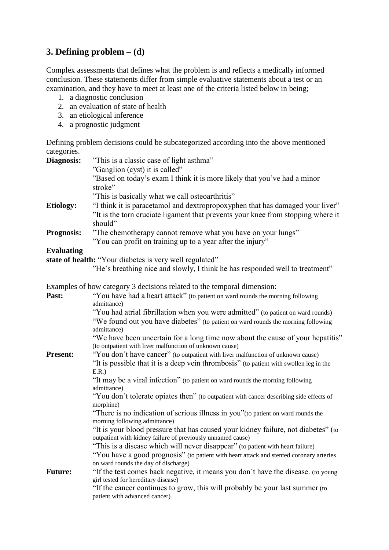# **3. Defining problem – (d)**

Complex assessments that defines what the problem is and reflects a medically informed conclusion. These statements differ from simple evaluative statements about a test or an examination, and they have to meet at least one of the criteria listed below in being;

- 1. a diagnostic conclusion
- 2. an evaluation of state of health
- 3. an etiological inference
- 4. a prognostic judgment

Defining problem decisions could be subcategorized according into the above mentioned categories.

| Diagnosis:        | "This is a classic case of light asthma"                                                                                                                                  |
|-------------------|---------------------------------------------------------------------------------------------------------------------------------------------------------------------------|
|                   | "Ganglion (cyst) it is called"                                                                                                                                            |
|                   | "Based on today's exam I think it is more likely that you've had a minor<br>stroke"                                                                                       |
|                   | "This is basically what we call osteoarthritis"                                                                                                                           |
| <b>Etiology:</b>  | "I think it is paracetamol and dextropropoxyphen that has damaged your liver"                                                                                             |
|                   | "It is the torn cruciate ligament that prevents your knee from stopping where it<br>should"                                                                               |
| <b>Prognosis:</b> | "The chemotherapy cannot remove what you have on your lungs"                                                                                                              |
|                   | "You can profit on training up to a year after the injury"                                                                                                                |
| <b>Evaluating</b> |                                                                                                                                                                           |
|                   | state of health: "Your diabetes is very well regulated"                                                                                                                   |
|                   | "He's breathing nice and slowly, I think he has responded well to treatment"                                                                                              |
|                   | Examples of how category 3 decisions related to the temporal dimension:                                                                                                   |
| Past:             | "You have had a heart attack" (to patient on ward rounds the morning following<br>admittance)                                                                             |
|                   | "You had atrial fibrillation when you were admitted" (to patient on ward rounds)                                                                                          |
|                   | "We found out you have diabetes" (to patient on ward rounds the morning following<br>admittance)                                                                          |
|                   | "We have been uncertain for a long time now about the cause of your hepatitis"<br>(to outpatient with liver malfunction of unknown cause)                                 |
| <b>Present:</b>   | "You don't have cancer" (to outpatient with liver malfunction of unknown cause)<br>"It is possible that it is a deep vein thrombosis" (to patient with swollen leg in the |
|                   | E.R.)<br>"It may be a viral infection" (to patient on ward rounds the morning following<br>admittance)                                                                    |
|                   | "You don't tolerate opiates then" (to outpatient with cancer describing side effects of<br>morphine)                                                                      |
|                   | "There is no indication of serious illness in you" (to patient on ward rounds the<br>morning following admittance)                                                        |
|                   | "It is your blood pressure that has caused your kidney failure, not diabetes" (to<br>outpatient with kidney failure of previously unnamed cause)                          |
|                   | "This is a disease which will never disappear" (to patient with heart failure)                                                                                            |
|                   | "You have a good prognosis" (to patient with heart attack and stented coronary arteries<br>on ward rounds the day of discharge)                                           |
| <b>Future:</b>    | "If the test comes back negative, it means you don't have the disease. (to young<br>girl tested for hereditary disease)                                                   |
|                   | "If the cancer continues to grow, this will probably be your last summer (to<br>patient with advanced cancer)                                                             |
|                   |                                                                                                                                                                           |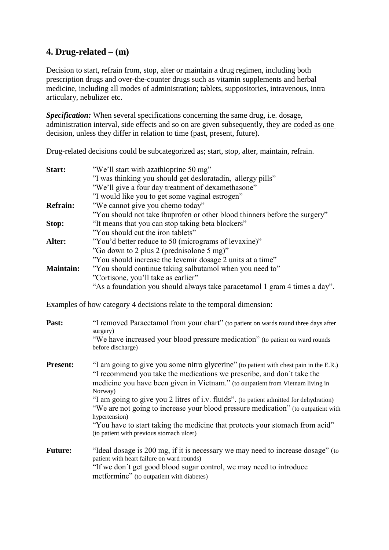# **4. Drug-related – (m)**

Decision to start, refrain from, stop, alter or maintain a drug regimen, including both prescription drugs and over-the-counter drugs such as vitamin supplements and herbal medicine, including all modes of administration; tablets, suppositories, intravenous, intra articulary, nebulizer etc.

*Specification:* When several specifications concerning the same drug, i.e. dosage, administration interval, side effects and so on are given subsequently, they are coded as one decision, unless they differ in relation to time (past, present, future).

Drug-related decisions could be subcategorized as; start, stop, alter, maintain, refrain.

| Start:           | "We'll start with azathioprine 50 mg"                                      |
|------------------|----------------------------------------------------------------------------|
|                  | "I was thinking you should get deslorated in, allergy pills"               |
|                  | "We'll give a four day treatment of dexamethasone"                         |
|                  | "I would like you to get some vaginal estrogen"                            |
| <b>Refrain:</b>  | "We cannot give you chemo today"                                           |
|                  | "You should not take ibuprofen or other blood thinners before the surgery" |
| Stop:            | "It means that you can stop taking beta blockers"                          |
|                  | "You should cut the iron tablets"                                          |
| Alter:           | "You'd better reduce to 50 (micrograms of levaxine)"                       |
|                  | "Go down to 2 plus 2 (prednisolone 5 mg)"                                  |
|                  | "You should increase the levemir dosage 2 units at a time"                 |
| <b>Maintain:</b> | "You should continue taking salbutamol when you need to"                   |
|                  | "Cortisone, you'll take as earlier"                                        |
|                  | "As a foundation you should always take paracetamol 1 gram 4 times a day". |

Examples of how category 4 decisions relate to the temporal dimension:

| Past:           | "I removed Paracetamol from your chart" (to patient on wards round three days after<br>surgery)<br>"We have increased your blood pressure medication" (to patient on ward rounds<br>before discharge)                                                                                                                                                                                                                                                                                                                                                                                       |
|-----------------|---------------------------------------------------------------------------------------------------------------------------------------------------------------------------------------------------------------------------------------------------------------------------------------------------------------------------------------------------------------------------------------------------------------------------------------------------------------------------------------------------------------------------------------------------------------------------------------------|
| <b>Present:</b> | "I am going to give you some nitro glycerine" (to patient with chest pain in the E.R.)<br>"I recommend you take the medications we prescribe, and don't take the<br>medicine you have been given in Vietnam." (to outpatient from Vietnam living in<br>Norway)<br>"I am going to give you 2 litres of i.v. fluids". (to patient admitted for dehydration)<br>"We are not going to increase your blood pressure medication" (to outpatient with<br>hypertension)<br>"You have to start taking the medicine that protects your stomach from acid"<br>(to patient with previous stomach ulcer) |
| <b>Future:</b>  | "Ideal dosage is 200 mg, if it is necessary we may need to increase dosage" (to<br>patient with heart failure on ward rounds)<br>"If we don't get good blood sugar control, we may need to introduce<br>metformine" (to outpatient with diabetes)                                                                                                                                                                                                                                                                                                                                           |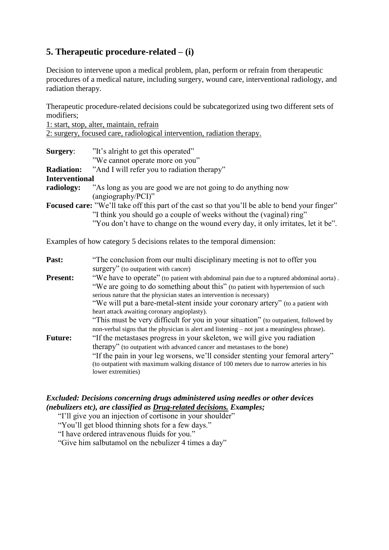# **5. Therapeutic procedure-related – (i)**

Decision to intervene upon a medical problem, plan, perform or refrain from therapeutic procedures of a medical nature, including surgery, wound care, interventional radiology, and radiation therapy.

Therapeutic procedure-related decisions could be subcategorized using two different sets of modifiers;

1: start, stop, alter, maintain, refrain

2: surgery, focused care, radiological intervention, radiation therapy.

| Surgery:              | "It's alright to get this operated"<br>"We cannot operate more on you"                                 |
|-----------------------|--------------------------------------------------------------------------------------------------------|
| <b>Radiation:</b>     | "And I will refer you to radiation therapy"                                                            |
| <b>Interventional</b> |                                                                                                        |
| radiology:            | "As long as you are good we are not going to do anything now                                           |
|                       | $(angiography/PCI)$ "                                                                                  |
|                       | <b>Focused care:</b> "We'll take off this part of the cast so that you'll be able to bend your finger" |
|                       | "I think you should go a couple of weeks without the (vaginal) ring"                                   |
|                       | "You don't have to change on the wound every day, it only irritates, let it be".                       |

Examples of how category 5 decisions relates to the temporal dimension:

| Past:           | "The conclusion from our multi disciplinary meeting is not to offer you                      |
|-----------------|----------------------------------------------------------------------------------------------|
|                 | surgery" (to outpatient with cancer)                                                         |
| <b>Present:</b> | "We have to operate" (to patient with abdominal pain due to a ruptured abdominal aorta).     |
|                 | "We are going to do something about this" (to patient with hypertension of such              |
|                 | serious nature that the physician states an intervention is necessary)                       |
|                 | "We will put a bare-metal-stent inside your coronary artery" (to a patient with              |
|                 | heart attack awaiting coronary angioplasty).                                                 |
|                 | "This must be very difficult for you in your situation" (to outpatient, followed by          |
|                 | non-verbal signs that the physician is alert and listening – not just a meaningless phrase). |
| <b>Future:</b>  | "If the metastases progress in your skeleton, we will give you radiation                     |
|                 | therapy" (to outpatient with advanced cancer and metastases to the bone)                     |
|                 | "If the pain in your leg worsens, we'll consider stenting your femoral artery"               |
|                 | (to outpatient with maximum walking distance of 100 meters due to narrow arteries in his     |
|                 | lower extremities)                                                                           |

#### *Excluded: Decisions concerning drugs administered using needles or other devices (nebulizers etc), are classified as Drug-related decisions. Examples;*

"I'll give you an injection of cortisone in your shoulder"

"You'll get blood thinning shots for a few days."

"I have ordered intravenous fluids for you."

"Give him salbutamol on the nebulizer 4 times a day"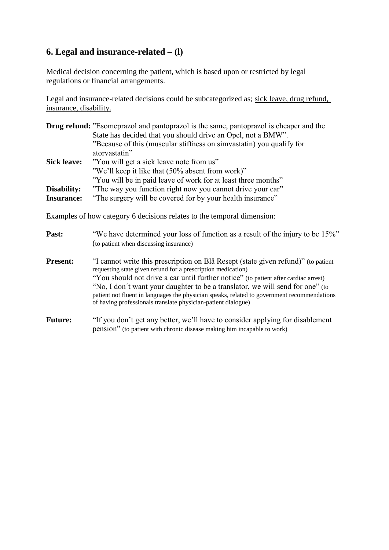# **6. Legal and insurance-related – (l)**

Medical decision concerning the patient, which is based upon or restricted by legal regulations or financial arrangements.

Legal and insurance-related decisions could be subcategorized as; sick leave, drug refund, insurance, disability.

|                    | <b>Drug refund:</b> "Esomeprazol and pantoprazol is the same, pantoprazol is cheaper and the |
|--------------------|----------------------------------------------------------------------------------------------|
|                    | State has decided that you should drive an Opel, not a BMW".                                 |
|                    | "Because of this (muscular stiffness on simvastatin) you qualify for                         |
|                    | atorvastatin"                                                                                |
| <b>Sick leave:</b> | "You will get a sick leave note from us"                                                     |
|                    | "We'll keep it like that (50% absent from work)"                                             |
|                    | "You will be in paid leave of work for at least three months"                                |
| Disability:        | "The way you function right now you cannot drive your car"                                   |
| <b>Insurance:</b>  | "The surgery will be covered for by your health insurance"                                   |

Examples of how category 6 decisions relates to the temporal dimension:

| Past:           | "We have determined your loss of function as a result of the injury to be 15%"<br>(to patient when discussing insurance)                                                                                                                                                                                                                                                                                                                                                                  |
|-----------------|-------------------------------------------------------------------------------------------------------------------------------------------------------------------------------------------------------------------------------------------------------------------------------------------------------------------------------------------------------------------------------------------------------------------------------------------------------------------------------------------|
| <b>Present:</b> | "I cannot write this prescription on Blå Resept (state given refund)" (to patient<br>requesting state given refund for a prescription medication)<br>"You should not drive a car until further notice" (to patient after cardiac arrest)<br>"No, I don't want your daughter to be a translator, we will send for one" (to<br>patient not fluent in languages the physician speaks, related to government recommendations<br>of having professionals translate physician-patient dialogue) |
| <b>Future:</b>  | "If you don't get any better, we'll have to consider applying for disablement<br>pension" (to patient with chronic disease making him incapable to work)                                                                                                                                                                                                                                                                                                                                  |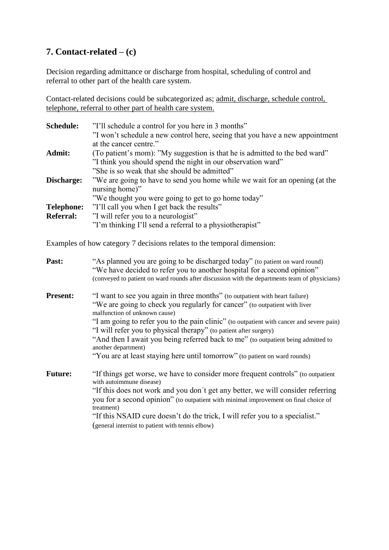# **7. Contact-related – (c)**

Decision regarding admittance or discharge from hospital, scheduling of control and referral to other part of the health care system.

Contact-related decisions could be subcategorized as; admit, discharge, schedule control, telephone, referral to other part of health care system.

| <b>Schedule:</b>  | "I'll schedule a control for you here in 3 months"                           |
|-------------------|------------------------------------------------------------------------------|
|                   | "I won't schedule a new control here, seeing that you have a new appointment |
|                   | at the cancer centre."                                                       |
| Admit:            | (To patient's mom): "My suggestion is that he is admitted to the bed ward"   |
|                   | "I think you should spend the night in our observation ward"                 |
|                   | "She is so weak that she should be admitted"                                 |
| Discharge:        | "We are going to have to send you home while we wait for an opening (at the  |
|                   | nursing home)"                                                               |
|                   | "We thought you were going to get to go home today"                          |
| <b>Telephone:</b> | "I'll call you when I get back the results"                                  |
| <b>Referral:</b>  | "I will refer you to a neurologist"                                          |
|                   | "I'm thinking I'll send a referral to a physiotherapist"                     |

Examples of how category 7 decisions relates to the temporal dimension:

| Past:           | "As planned you are going to be discharged today" (to patient on ward round)<br>"We have decided to refer you to another hospital for a second opinion"<br>(conveyed to patient on ward rounds after discussion with the departments team of physicians)                                                                                                                                                                                                                                                                                               |
|-----------------|--------------------------------------------------------------------------------------------------------------------------------------------------------------------------------------------------------------------------------------------------------------------------------------------------------------------------------------------------------------------------------------------------------------------------------------------------------------------------------------------------------------------------------------------------------|
| <b>Present:</b> | "I want to see you again in three months" (to outpatient with heart failure)<br>"We are going to check you regularly for cancer" (to outpatient with liver<br>malfunction of unknown cause)<br>"I am going to refer you to the pain clinic" (to outpatient with cancer and severe pain)<br>"I will refer you to physical therapy" (to patient after surgery)<br>"And then I await you being referred back to me" (to outpatient being admitted to<br>another department)<br>"You are at least staying here until tomorrow" (to patient on ward rounds) |
| <b>Future:</b>  | "If things get worse, we have to consider more frequent controls" (to outpatient<br>with autoimmune disease)<br>"If this does not work and you don't get any better, we will consider referring<br>you for a second opinion" (to outpatient with minimal improvement on final choice of<br>treatment)<br>"If this NSAID cure doesn't do the trick, I will refer you to a specialist."<br>(general internist to patient with tennis elbow)                                                                                                              |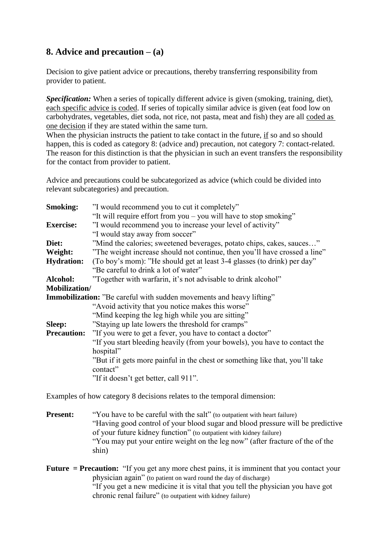# **8. Advice and precaution – (a)**

Decision to give patient advice or precautions, thereby transferring responsibility from provider to patient.

*Specification:* When a series of topically different advice is given (smoking, training, diet), each specific advice is coded. If series of topically similar advice is given (eat food low on carbohydrates, vegetables, diet soda, not rice, not pasta, meat and fish) they are all coded as one decision if they are stated within the same turn.

When the physician instructs the patient to take contact in the future, if so and so should happen, this is coded as category 8: (advice and) precaution, not category 7: contact-related. The reason for this distinction is that the physician in such an event transfers the responsibility for the contact from provider to patient.

Advice and precautions could be subcategorized as advice (which could be divided into relevant subcategories) and precaution.

| <b>Smoking:</b>       | "I would recommend you to cut it completely"                                  |  |
|-----------------------|-------------------------------------------------------------------------------|--|
|                       | "It will require effort from you – you will have to stop smoking"             |  |
| <b>Exercise:</b>      | "I would recommend you to increase your level of activity"                    |  |
|                       | "I would stay away from soccer"                                               |  |
| Diet:                 | "Mind the calories; sweetened beverages, potato chips, cakes, sauces"         |  |
| Weight:               | "The weight increase should not continue, then you'll have crossed a line"    |  |
| <b>Hydration:</b>     | (To boy's mom): "He should get at least 3-4 glasses (to drink) per day"       |  |
|                       | "Be careful to drink a lot of water"                                          |  |
| Alcohol:              | "Together with warfarin, it's not advisable to drink alcohol"                 |  |
| <b>Mobilization</b> / |                                                                               |  |
|                       | Immobilization: "Be careful with sudden movements and heavy lifting"          |  |
|                       | "Avoid activity that you notice makes this worse"                             |  |
|                       | "Mind keeping the leg high while you are sitting"                             |  |
| <b>Sleep:</b>         | "Staying up late lowers the threshold for cramps"                             |  |
| <b>Precaution:</b>    | "If you were to get a fever, you have to contact a doctor"                    |  |
|                       | "If you start bleeding heavily (from your bowels), you have to contact the    |  |
|                       | hospital"                                                                     |  |
|                       | "But if it gets more painful in the chest or something like that, you'll take |  |
|                       | contact"                                                                      |  |
|                       | "If it doesn't get better, call 911".                                         |  |
|                       |                                                                               |  |

Examples of how category 8 decisions relates to the temporal dimension:

**Present:** "You have to be careful with the salt" (to outpatient with heart failure) "Having good control of your blood sugar and blood pressure will be predictive of your future kidney function" (to outpatient with kidney failure) "You may put your entire weight on the leg now" (after fracture of the of the shin)

**Future = Precaution:** "If you get any more chest pains, it is imminent that you contact your physician again" (to patient on ward round the day of discharge) "If you get a new medicine it is vital that you tell the physician you have got chronic renal failure" (to outpatient with kidney failure)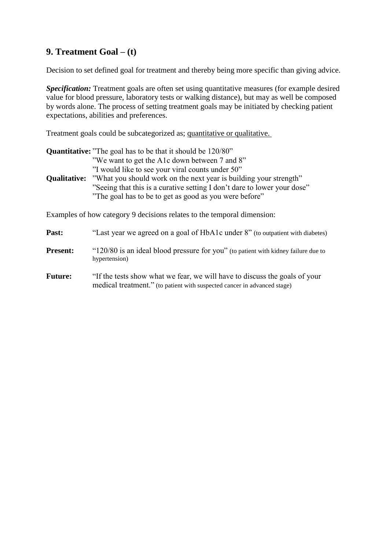# **9. Treatment Goal – (t)**

Decision to set defined goal for treatment and thereby being more specific than giving advice.

*Specification:* Treatment goals are often set using quantitative measures (for example desired value for blood pressure, laboratory tests or walking distance), but may as well be composed by words alone. The process of setting treatment goals may be initiated by checking patient expectations, abilities and preferences.

Treatment goals could be subcategorized as; quantitative or qualitative.

|                     | <b>Quantitative:</b> "The goal has to be that it should be 120/80"                                                                                                                                                                                                                                           |
|---------------------|--------------------------------------------------------------------------------------------------------------------------------------------------------------------------------------------------------------------------------------------------------------------------------------------------------------|
| <b>Qualitative:</b> | "We want to get the A1c down between 7 and 8"<br>"I would like to see your viral counts under 50"<br>"What you should work on the next year is building your strength"<br>"Seeing that this is a curative setting I don't dare to lower your dose"<br>"The goal has to be to get as good as you were before" |
|                     | Examples of how category 9 decisions relates to the temporal dimension:                                                                                                                                                                                                                                      |

| Past:           | "Last year we agreed on a goal of HbA1c under 8" (to outpatient with diabetes)                                                                         |
|-----------------|--------------------------------------------------------------------------------------------------------------------------------------------------------|
| <b>Present:</b> | "120/80 is an ideal blood pressure for you" (to patient with kidney failure due to<br>hypertension)                                                    |
| <b>Future:</b>  | "If the tests show what we fear, we will have to discuss the goals of your<br>medical treatment." (to patient with suspected cancer in advanced stage) |